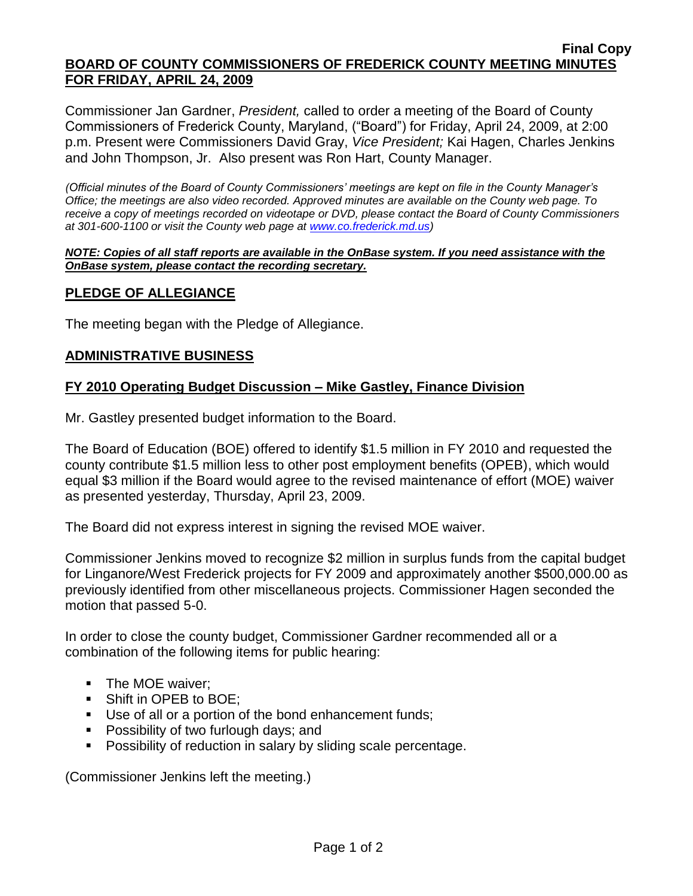### **Final Copy BOARD OF COUNTY COMMISSIONERS OF FREDERICK COUNTY MEETING MINUTES FOR FRIDAY, APRIL 24, 2009**

Commissioner Jan Gardner, *President,* called to order a meeting of the Board of County Commissioners of Frederick County, Maryland, ("Board") for Friday, April 24, 2009, at 2:00 p.m. Present were Commissioners David Gray, *Vice President;* Kai Hagen, Charles Jenkins and John Thompson, Jr. Also present was Ron Hart, County Manager.

*(Official minutes of the Board of County Commissioners' meetings are kept on file in the County Manager's Office; the meetings are also video recorded. Approved minutes are available on the County web page. To receive a copy of meetings recorded on videotape or DVD, please contact the Board of County Commissioners at 301-600-1100 or visit the County web page at [www.co.frederick.md.us\)](http://www.co.frederick.md.us/)*

#### *NOTE: Copies of all staff reports are available in the OnBase system. If you need assistance with the OnBase system, please contact the recording secretary.*

# **PLEDGE OF ALLEGIANCE**

The meeting began with the Pledge of Allegiance.

## **ADMINISTRATIVE BUSINESS**

## **FY 2010 Operating Budget Discussion – Mike Gastley, Finance Division**

Mr. Gastley presented budget information to the Board.

The Board of Education (BOE) offered to identify \$1.5 million in FY 2010 and requested the county contribute \$1.5 million less to other post employment benefits (OPEB), which would equal \$3 million if the Board would agree to the revised maintenance of effort (MOE) waiver as presented yesterday, Thursday, April 23, 2009.

The Board did not express interest in signing the revised MOE waiver.

Commissioner Jenkins moved to recognize \$2 million in surplus funds from the capital budget for Linganore/West Frederick projects for FY 2009 and approximately another \$500,000.00 as previously identified from other miscellaneous projects. Commissioner Hagen seconded the motion that passed 5-0.

In order to close the county budget, Commissioner Gardner recommended all or a combination of the following items for public hearing:

- The MOE waiver:
- **Shift in OPEB to BOE;**
- Use of all or a portion of the bond enhancement funds;
- **Possibility of two furlough days; and**
- **Possibility of reduction in salary by sliding scale percentage.**

(Commissioner Jenkins left the meeting.)